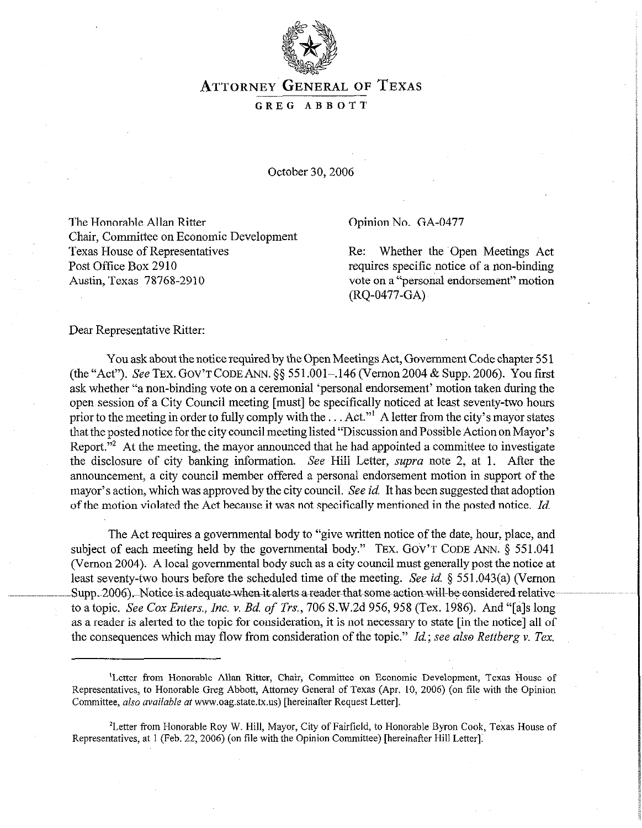

## ATTORNEY GENERAL OF **TEXAS**

## GREG ABBOTT

October 30,2006

The Honorable Allan Ritter Chair, Committee on Economic Development Texas House of Representatives Post Office Box 2910 Austin, Texas 78768-2910

## Opinion No. GA-0477

Re: Whether the 'Open Meetings Act requires specific notice of a non-binding vote on a "personal endorsement" motion (RQ-0477-GA)

Dear Representative Ritter:

You ask about the notice required by the Open Meetings Act, Government Code chapter 551 (the "Act"). See TEX. GOV'T CODE ANN. \$5 551.001-,146 (Vernon 2004 & Supp. 2006). You first ask whether "a non-binding vote on a ceremonial 'personal endorsement' motion taken during the open session of a City Council meeting [must] be specifically noticed at least seventy-two hours prior to the meeting in order to fully comply with the  $\dots$  Act." A letter from the city's mayor states that the posted notice for the city council meeting listed "Discussion and Possible Action on Mayor's Report."<sup>2</sup> At the meeting, the mayor announced that he had appointed a committee to investigate the disclosure of city banking information. See Hill Letter, supra note 2, at 1. After the announcement, a city council member offered a personal endorsement motion in support of the mayor's action, which was approved by the city council. See *id.* It has been suggested that adoption of the motion violated the Act because'it was not specifically mentioned in the posted notice. *Id* 

The Act requires a governmental body to "give written notice of the date, hour, place, and subject of each meeting held by the governmental body." TEX. GOV'T CODE ANN.  $\S$  551.041 (Vernon 2004). A local governmental body such as a city council must generally post the notice at least seventy-two hours before the scheduled time of the meeting. See *id.* § 55 1.043(a) (Vernon  $~Supp.-2006)$  Notice is adequate-when it alerts a-reader-that-some-action-will-be-considered-relativeto a topic. See Cox *Enters., Inc. Y. Bd. of Trs., 706* S.W.Zd 956,958 (Tex. 1986). And "[a]s long as a reader is alerted to the topic for consideration, it is not necessary to state [in the notice] all of the consequences which may flow from consideration of the topic." *Id.; see also Rettberg v. Tex.* 

<sup>&#</sup>x27;Letter from Honorable Allan Ritter, Chair, Committee on Economic Development, Texas House of Representatives, to Honorable Greg Abbott, Attorney General of Texas (Apr. 10, 2006) (on file with the Opinion Committee, also available at www.oag.state.tx.us) [hereinafter Request Letter].

<sup>&#</sup>x27;Letter from Honorable Roy W. Hill, Mayor, City of Fairfield, to Honorable Byron Cook, Texas House of Representatives, at 1 (Feb. 22, 2006) (on file with the Opinion Committee) [hereinafter Hill Letter]: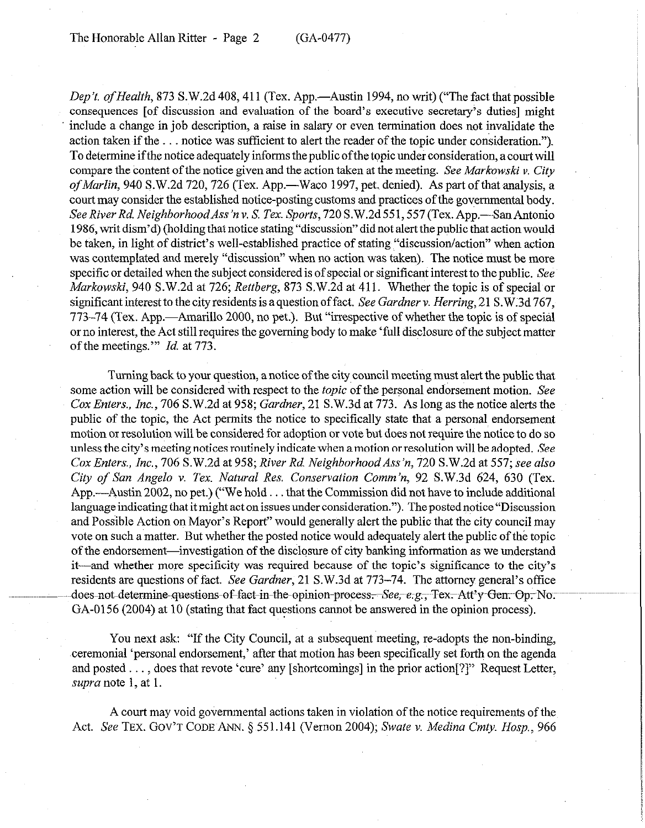The Honorable Allan Ritter - Page 2 (GA-0477)

*Dep't. of Health, 873 S.W.2d 408, 411 (Tex. App.—Austin 1994, no writ) ("The fact that possible* consequences [of discussion and evaluation of the board's executive secretary's duties] might include a change in job description, a raise in salary or even termination does not invalidate the action taken if the . . notice was sufficient to alert the reader of the topic under consideration."). To determine if the notice adequately informs the public of the topic under consideration, a court will compare the content of the notice given and the action taken at the meeting. See *Markowski v. City of Marlin,* 940 S.W.2d 720, 726 (Tex. App.—Waco 1997, pet. denied). As part of that analysis, a court may consider the established notice-posting customs and practices of the governmental body. *See RiverRd. NeighborhoodAss'nv.* S. Tex. *Sports,* 720 S.W.2d551,557(Tex.App.-SanAntonio 1986, writ dism'd) (holding that notice stating "discussion" did not alertthe public that action would be taken, in light of district's well-established practice of stating "discussion/action" when action was contemplated and merely "discussion" when no action was taken). The notice must be more specific or detailed when the subject considered is of special or significant interest to the public. See *Markowski, 940* S.W.2d at *726; Rettberg,* 873 S.W.2d at 411. Whether the topic is of special or significant interest to the city residents is a question of fact. *See Gardner v. Herring,* 21 S.W;3d 767, 773-74 (Tex. App.—Amarillo 2000, no pet.). But "irrespective of whether the topic is of special or no interest, the Act still requires the governing body to make 'full disclosure of the subject matter of the meetings."' *Id.* at 773.

Turning back to your question, a notice of the city council meeting must alert the public that some action will be considered with respect to the *topic* of the personal endorsement motion. See *Cox Enters., Inc., 706* S.W.2d at *958; Gardner,* 21 S.W.3d at 773. As long as the notice alerts the public of the topic, the Act permits the notice to specifically state that a personal endorsement motion or resolution will be considered for adoption or vote but doesnot require the notice to do so unless the city's meeting notices routinely indicate when amotion or resolution will be adopted. See *Cox Enters., Inc., 706* S.W.2d at *958; River Rd. NeighborhoodAss'n, 720* S.W.2d at 557; see also *City of San Angelo v. Tex. Natural Rex Conservation Comm'n, 92* S.W.3d 624, 630 (Tex. App.—Austin 2002, no pet.) ("We hold  $\ldots$  that the Commission did not have to include additional language indicating that it might act on issues under consideration."). The posted notice "Discussion and Possible Action on Mayor's Report" would generally alert the public that the city council may vote on such a matter. But whether the posted notice would adequately alert the public of the topic of the endorsement-investigation of the disclosure of city banking information as we understand it-and whether more specificity was required because of the topic's significance to the city's residents are questions of fact. *See Gardner,* 21 S.W.3d at 773-74. The attorney general's office does-not-determine-questions-of-fact-in-the-opinion-process.-*-See,-e-g*,-, Tex.-Att'y Gen. Op. No. GA-0156 (2004) at 10 (stating that fact questions cannot be answered in the opinion process).

You next ask: "If the City Council, at a subsequent meeting, re-adopts the non-binding, ,ceremonial 'personal endorsement,' after that motion has been specifically set forth on the agenda and posted  $\dots$ , does that revote 'cure' any [shortcomings] in the prior action[?]" Request Letter, *supra* note 1, at 1.

A court may void governmental actions taken in violation of the notice requirements of the Act. See TEX. GOV'T CODE ANN. § 551.141 (Vernon 2004); Swate v. Medina Cmty. Hosp., 966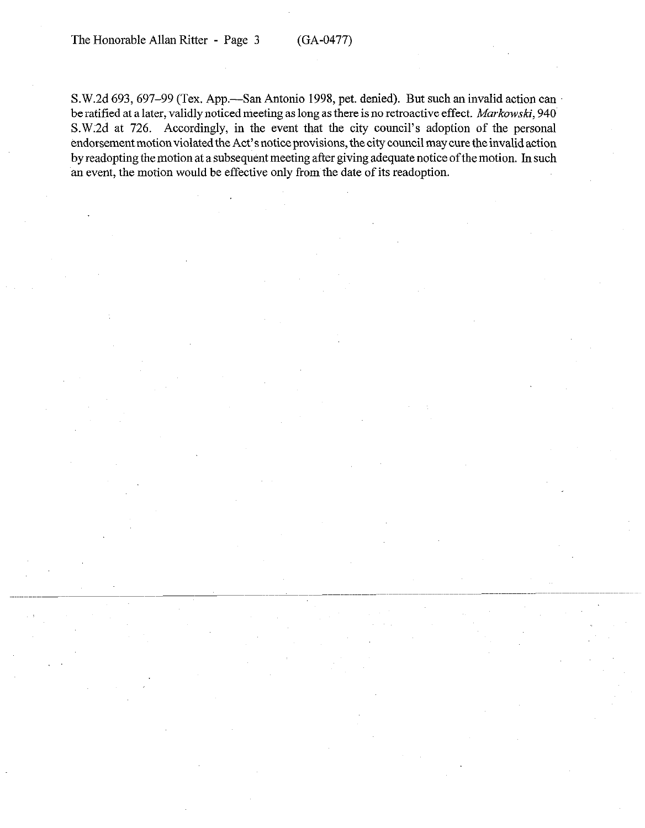S.W.2d 693, 697-99 (Tex. App.—San Antonio 1998, pet. denied). But such an invalid action can be ratified at a later, validly noticed meeting as long as there is no retroactive effect. Markowski, 940 S.W:2d at 726. Accordingly, in the event that the city council's adoption of the personal endorsement motion violated the Act's notice provisions, the city council may cure the invalid action by readopting the motion at a subsequent meeting after giving adequate notice ofthe motion. In such an event, the motion would be effective only from the date of its readoption.